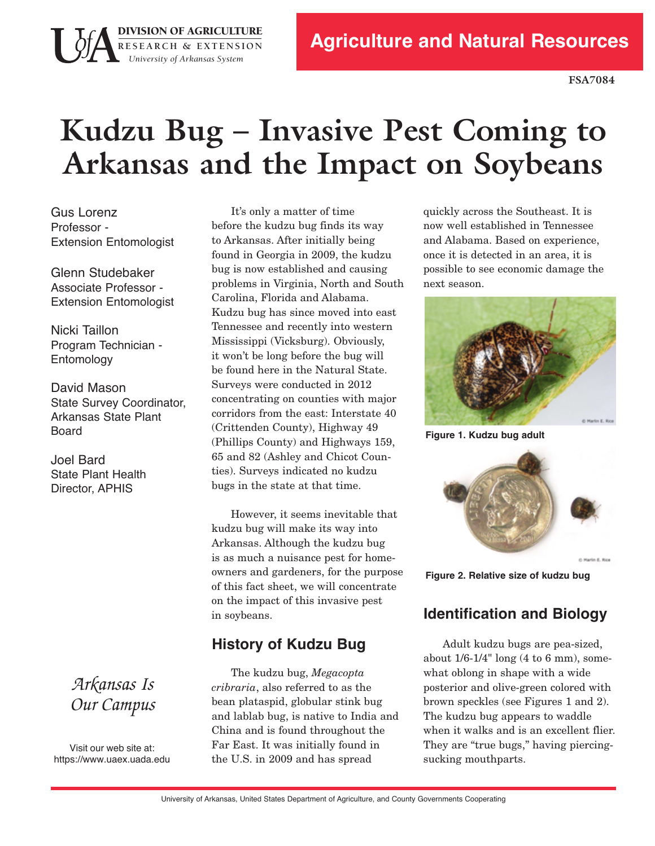# **Kudzu Bug – Invasive Pest Coming to Arkansas and the Impact on Soybeans**

Gus Lorenz Professor Extension Entomologist

 **R E S E A R C H & E X T E N S I O N** 

*University of Arkansas System* 

**DIVISION OF AGRICULTURE** 

 Associate Professor Glenn Studebaker Extension Entomologist

 Program Technician Nicki Taillon Entomology

 State Survey Coordinator, Arkansas State Plant David Mason Board

 State Plant Health Joel Bard Director, APHIS

> *Arkansas Is Our Campus*

 https[://www.uaex](https://www.uaex.uada.edu).uada.edu Visit our web site at:

 It's only a matter of time before the kudzu bug finds its way to Arkansas. After initially being found in Georgia in 2009, the kudzu bug is now established and causing problems in Virginia, North and South Carolina, Florida and Alabama. Kudzu bug has since moved into east Tennessee and recently into western it won't be long before the bug will be found here in the Natural State. Surveys were conducted in 2012 concentrating on counties with major corridors from the east: Interstate 40 (Crittenden County), Highway 49 (Phillips County) and Highways 159, 65 and 82 (Ashley and Chicot Coun- ties). Surveys indicated no kudzu bugs in the state at that time. Mississippi (Vicksburg). Obviously,

 However, it seems inevitable that kudzu bug will make its way into Arkansas. Although the kudzu bug is as much a nuisance pest for home- owners and gardeners, for the purpose of this fact sheet, we will concentrate on the impact of this invasive pest in soybeans.

## **History of Kudzu Bug**

 The kudzu bug, *Megacopta cribraria*, also referred to as the bean plataspid, globular stink bug and lablab bug, is native to India and China and is found throughout the Far East. It was initially found in the U.S. in 2009 and has spread

 quickly across the Southeast. It is now well established in Tennessee and Alabama. Based on experience, once it is detected in an area, it is possible to see economic damage the next season.



 **Figure 1. Kudzu bug adult**



 **Figure 2. Relative size of kudzu bug**

# **Identification and Biology**

Adult kudzu bugs are pea-sized, about  $1/6-1/4"$  long  $(4 \text{ to } 6 \text{ mm})$ , some- what oblong in shape with a wide posterior and olive-green colored with brown speckles (see Figures 1 and 2). The kudzu bug appears to waddle when it walks and is an excellent flier. They are "true bugs," having piercingsucking mouthparts.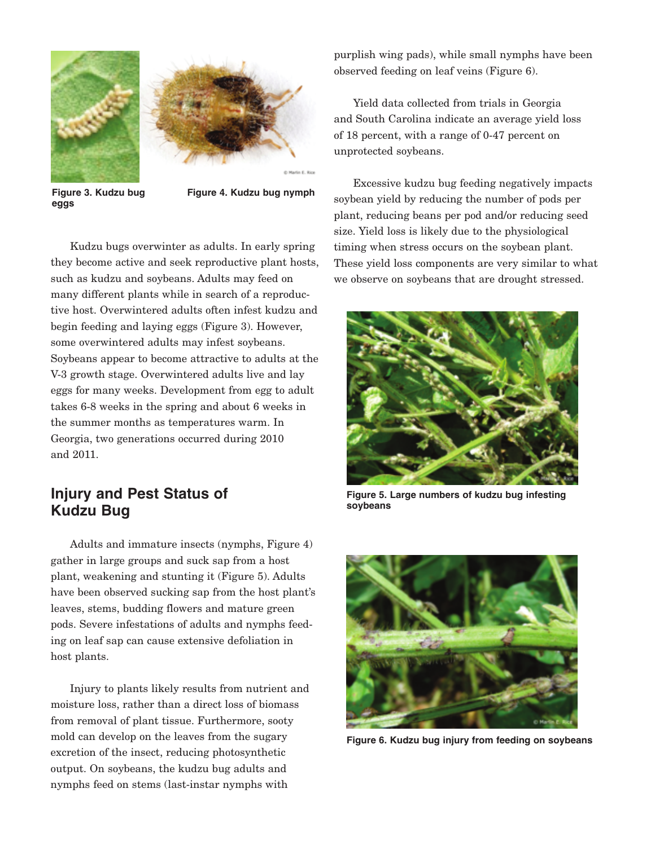



**eggs**

 **Figure 3. Kudzu bug Figure 4. Kudzu bug nymph**

 Kudzu bugs overwinter as adults. In early spring they become active and seek reproductive plant hosts, such as kudzu and soybeans. Adults may feed on many different plants while in search of a reproduc- tive host. Overwintered adults often infest kudzu and begin feeding and laying eggs (Figure 3). However, some overwintered adults may infest soybeans. Soybeans appear to become attractive to adults at the V3 growth stage. Overwintered adults live and lay eggs for many weeks. Development from egg to adult takes 6-8 weeks in the spring and about 6 weeks in the summer months as temperatures warm. In Georgia, two generations occurred during 2010 and 2011.

#### **Injury and Pest Status of Kudzu Bug**

 Adults and immature insects (nymphs, Figure 4) gather in large groups and suck sap from a host plant, weakening and stunting it (Figure 5). Adults have been observed sucking sap from the host plant's leaves, stems, budding flowers and mature green pods. Severe infestations of adults and nymphs feed- ing on leaf sap can cause extensive defoliation in host plants.

 Injury to plants likely results from nutrient and moisture loss, rather than a direct loss of biomass from removal of plant tissue. Furthermore, sooty mold can develop on the leaves from the sugary excretion of the insect, reducing photosynthetic output. On soybeans, the kudzu bug adults and nymphs feed on stems (last-instar nymphs with

 purplish wing pads), while small nymphs have been observed feeding on leaf veins (Figure 6).

 Yield data collected from trials in Georgia and South Carolina indicate an average yield loss of 18 percent, with a range of 0-47 percent on unprotected soybeans.

 Excessive kudzu bug feeding negatively impacts soybean yield by reducing the number of pods per plant, reducing beans per pod and/or reducing seed size. Yield loss is likely due to the physiological timing when stress occurs on the soybean plant. These yield loss components are very similar to what we observe on soybeans that are drought stressed.



 **Figure 5. Large numbers of kudzu bug infesting soybeans**



 **Figure 6. Kudzu bug injury from feeding on soybeans**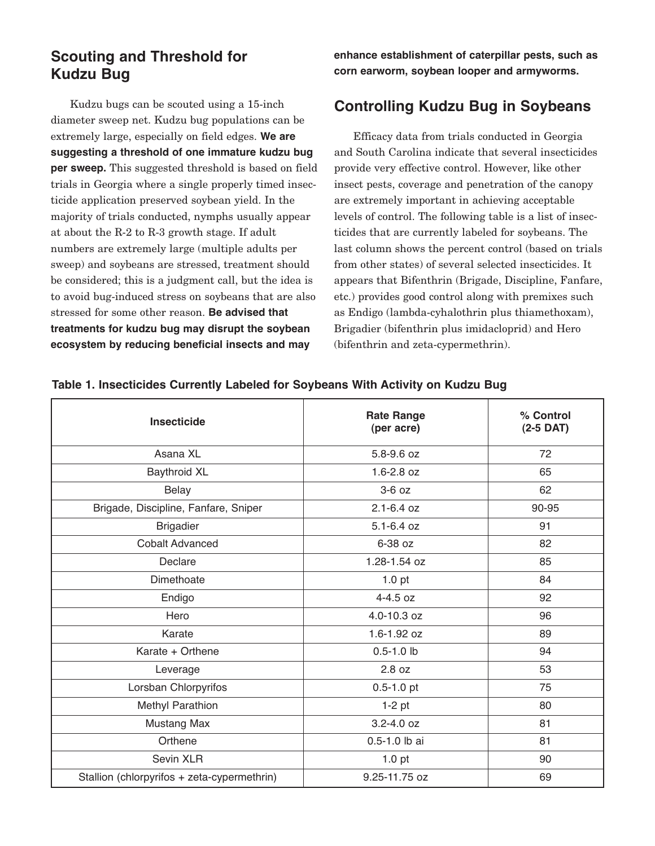## **Scouting and Threshold for Kudzu Bug**

Kudzu bugs can be scouted using a 15-inch diameter sweep net. Kudzu bug populations can be extremely large, especially on field edges. **We are suggesting a threshold of one immature kudzu bug per sweep.** This suggested threshold is based on field trials in Georgia where a single properly timed insec- ticide application preserved soybean yield. In the majority of trials conducted, nymphs usually appear at about the R-2 to R-3 growth stage. If adult numbers are extremely large (multiple adults per sweep) and soybeans are stressed, treatment should be considered; this is a judgment call, but the idea is to avoid bug-induced stress on soybeans that are also  stressed for some other reason. **Be advised that treatments for kudzu bug may disrupt the soybean ecosystem by reducing beneficial insects and may**

 **enhance establishment of caterpillar pests, such as corn earworm, soybean looper and armyworms.**

#### **Controlling Kudzu Bug in Soybeans**

 Efficacy data from trials conducted in Georgia and South Carolina indicate that several insecticides provide very effective control. However, like other insect pests, coverage and penetration of the canopy are extremely important in achieving acceptable levels of control. The following table is a list of insec- ticides that are currently labeled for soybeans. The last column shows the percent control (based on trials from other states) of several selected insecticides. It appears that Bifenthrin (Brigade, Discipline, Fanfare, etc.) provides good control along with premixes such as Endigo (lambda-cyhalothrin plus thiamethoxam), Brigadier (bifenthrin plus imidacloprid) and Hero (bifenthrin and zeta-cypermethrin).

| Insecticide                                 | <b>Rate Range</b><br>(per acre) | % Control<br>$(2-5$ DAT) |
|---------------------------------------------|---------------------------------|--------------------------|
| Asana XL                                    | 5.8-9.6 oz                      | 72                       |
| <b>Baythroid XL</b>                         | $1.6 - 2.8$ oz                  | 65                       |
| Belay                                       | $3-6$ oz                        | 62                       |
| Brigade, Discipline, Fanfare, Sniper        | $2.1 - 6.4$ oz                  | 90-95                    |
| <b>Brigadier</b>                            | $5.1 - 6.4$ oz                  | 91                       |
| <b>Cobalt Advanced</b>                      | 6-38 oz                         | 82                       |
| Declare                                     | 1.28-1.54 oz                    | 85                       |
| Dimethoate                                  | $1.0$ pt                        | 84                       |
| Endigo                                      | $4 - 4.5$ oz                    | 92                       |
| Hero                                        | 4.0-10.3 oz                     | 96                       |
| Karate                                      | $1.6 - 1.92$ oz                 | 89                       |
| Karate + Orthene                            | $0.5 - 1.0$ lb                  | 94                       |
| Leverage                                    | 2.8 oz                          | 53                       |
| Lorsban Chlorpyrifos                        | $0.5 - 1.0$ pt                  | 75                       |
| Methyl Parathion                            | $1-2$ pt                        | 80                       |
| <b>Mustang Max</b>                          | $3.2 - 4.0$ oz                  | 81                       |
| Orthene                                     | 0.5-1.0 lb ai                   | 81                       |
| Sevin XLR                                   | 1.0 <sub>pt</sub>               | 90                       |
| Stallion (chlorpyrifos + zeta-cypermethrin) | 9.25-11.75 oz                   | 69                       |

#### **Table 1. Insecticides Currently Labeled for Soybeans With Activity on Kudzu Bug**